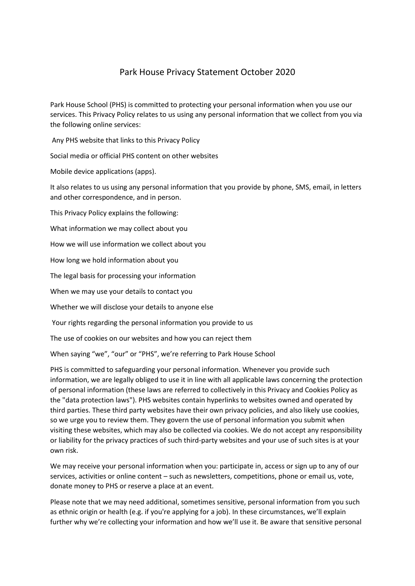# Park House Privacy Statement October 2020

Park House School (PHS) is committed to protecting your personal information when you use our services. This Privacy Policy relates to us using any personal information that we collect from you via the following online services:

Any PHS website that links to this Privacy Policy

Social media or official PHS content on other websites

Mobile device applications (apps).

It also relates to us using any personal information that you provide by phone, SMS, email, in letters and other correspondence, and in person.

This Privacy Policy explains the following:

What information we may collect about you

How we will use information we collect about you

How long we hold information about you

The legal basis for processing your information

When we may use your details to contact you

Whether we will disclose your details to anyone else

Your rights regarding the personal information you provide to us

The use of cookies on our websites and how you can reject them

When saying "we", "our" or "PHS", we're referring to Park House School

PHS is committed to safeguarding your personal information. Whenever you provide such information, we are legally obliged to use it in line with all applicable laws concerning the protection of personal information (these laws are referred to collectively in this Privacy and Cookies Policy as the "data protection laws"). PHS websites contain hyperlinks to websites owned and operated by third parties. These third party websites have their own privacy policies, and also likely use cookies, so we urge you to review them. They govern the use of personal information you submit when visiting these websites, which may also be collected via cookies. We do not accept any responsibility or liability for the privacy practices of such third-party websites and your use of such sites is at your own risk.

We may receive your personal information when you: participate in, access or sign up to any of our services, activities or online content – such as newsletters, competitions, phone or email us, vote, donate money to PHS or reserve a place at an event.

Please note that we may need additional, sometimes sensitive, personal information from you such as ethnic origin or health (e.g. if you're applying for a job). In these circumstances, we'll explain further why we're collecting your information and how we'll use it. Be aware that sensitive personal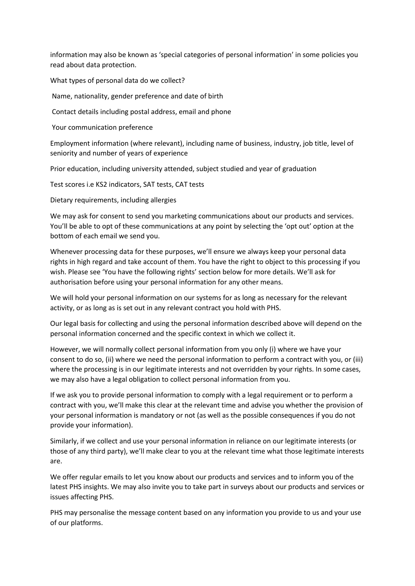information may also be known as 'special categories of personal information' in some policies you read about data protection.

What types of personal data do we collect?

Name, nationality, gender preference and date of birth

Contact details including postal address, email and phone

Your communication preference

Employment information (where relevant), including name of business, industry, job title, level of seniority and number of years of experience

Prior education, including university attended, subject studied and year of graduation

Test scores i.e KS2 indicators, SAT tests, CAT tests

Dietary requirements, including allergies

We may ask for consent to send you marketing communications about our products and services. You'll be able to opt of these communications at any point by selecting the 'opt out' option at the bottom of each email we send you.

Whenever processing data for these purposes, we'll ensure we always keep your personal data rights in high regard and take account of them. You have the right to object to this processing if you wish. Please see 'You have the following rights' section below for more details. We'll ask for authorisation before using your personal information for any other means.

We will hold your personal information on our systems for as long as necessary for the relevant activity, or as long as is set out in any relevant contract you hold with PHS.

Our legal basis for collecting and using the personal information described above will depend on the personal information concerned and the specific context in which we collect it.

However, we will normally collect personal information from you only (i) where we have your consent to do so, (ii) where we need the personal information to perform a contract with you, or (iii) where the processing is in our legitimate interests and not overridden by your rights. In some cases, we may also have a legal obligation to collect personal information from you.

If we ask you to provide personal information to comply with a legal requirement or to perform a contract with you, we'll make this clear at the relevant time and advise you whether the provision of your personal information is mandatory or not (as well as the possible consequences if you do not provide your information).

Similarly, if we collect and use your personal information in reliance on our legitimate interests (or those of any third party), we'll make clear to you at the relevant time what those legitimate interests are.

We offer regular emails to let you know about our products and services and to inform you of the latest PHS insights. We may also invite you to take part in surveys about our products and services or issues affecting PHS.

PHS may personalise the message content based on any information you provide to us and your use of our platforms.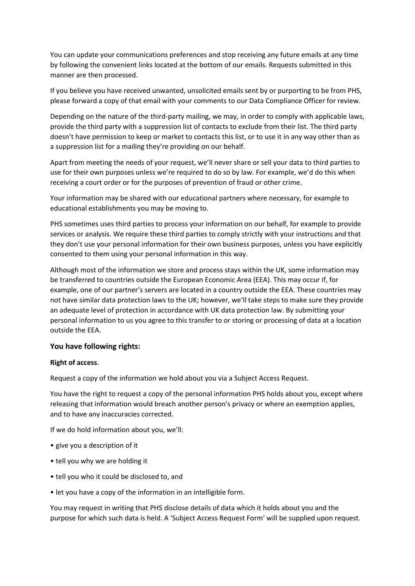You can update your communications preferences and stop receiving any future emails at any time by following the convenient links located at the bottom of our emails. Requests submitted in this manner are then processed.

If you believe you have received unwanted, unsolicited emails sent by or purporting to be from PHS, please forward a copy of that email with your comments to our Data Compliance Officer for review.

Depending on the nature of the third-party mailing, we may, in order to comply with applicable laws, provide the third party with a suppression list of contacts to exclude from their list. The third party doesn't have permission to keep or market to contacts this list, or to use it in any way other than as a suppression list for a mailing they're providing on our behalf.

Apart from meeting the needs of your request, we'll never share or sell your data to third parties to use for their own purposes unless we're required to do so by law. For example, we'd do this when receiving a court order or for the purposes of prevention of fraud or other crime.

Your information may be shared with our educational partners where necessary, for example to educational establishments you may be moving to.

PHS sometimes uses third parties to process your information on our behalf, for example to provide services or analysis. We require these third parties to comply strictly with your instructions and that they don't use your personal information for their own business purposes, unless you have explicitly consented to them using your personal information in this way.

Although most of the information we store and process stays within the UK, some information may be transferred to countries outside the European Economic Area (EEA). This may occur if, for example, one of our partner's servers are located in a country outside the EEA. These countries may not have similar data protection laws to the UK; however, we'll take steps to make sure they provide an adequate level of protection in accordance with UK data protection law. By submitting your personal information to us you agree to this transfer to or storing or processing of data at a location outside the EEA.

#### **You have following rights:**

#### **Right of access**.

Request a copy of the information we hold about you via a Subject Access Request.

You have the right to request a copy of the personal information PHS holds about you, except where releasing that information would breach another person's privacy or where an exemption applies, and to have any inaccuracies corrected.

If we do hold information about you, we'll:

- give you a description of it
- tell you why we are holding it
- tell you who it could be disclosed to, and
- let you have a copy of the information in an intelligible form.

You may request in writing that PHS disclose details of data which it holds about you and the purpose for which such data is held. A 'Subject Access Request Form' will be supplied upon request.